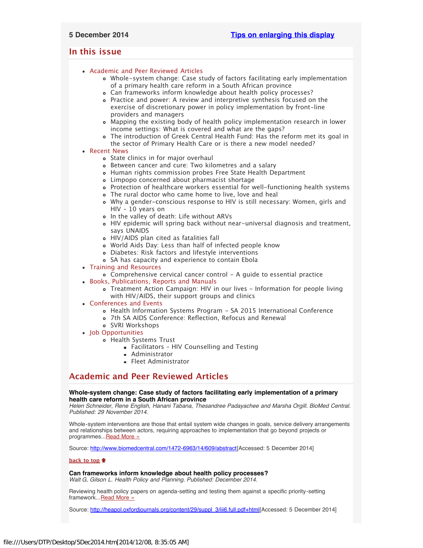# <span id="page-0-4"></span><span id="page-0-3"></span>**In this issue**

- [Academic and Peer Reviewed Articles](#page-0-0)
	- [Whole-system change: Case study of factors facilitating early implementation](#page-0-1) [of a primary health care reform in a South African province](#page-0-1)
	- [Can frameworks inform knowledge about health policy processes?](#page-0-2)
	- [Practice and power: A review and interpretive synthesis focused on the](#page-1-0) [exercise of discretionary power in policy implementation by front-line](#page-1-0) [providers and managers](#page-1-0)
	- [Mapping the existing body of health policy implementation research in lower](#page-1-1) [income settings: What is covered and what are the gaps?](#page-1-1)
	- [The introduction of Greek Central Health Fund: Has the reform met its goal in](#page-1-2) [the sector of Primary Health Care or is there a new model needed?](#page-1-2)

## [Recent News](#page-1-3)

- [State clinics in for major overhaul](#page-1-4)
- [Between cancer and cure: Two kilometres and a salary](#page-1-5)
- [Human rights commission probes Free State Health Department](#page-1-6)
- [Limpopo concerned about pharmacist shortage](#page-1-7)
- [Protection of healthcare workers essential for well-functioning health systems](#page-2-0)
- [The rural doctor who came home to live, love and heal](#page-2-1)
- [Why a gender-conscious response to HIV is still necessary: Women, girls and](#page-2-2) [HIV – 10 years on](#page-2-2)
- o [In the valley of death: Life without ARVs](#page-2-3)
- [HIV epidemic will spring back without near-universal diagnosis and treatment,](#page-2-4) [says UNAIDS](#page-2-4)
- [HIV/AIDS plan cited as fatalities fall](#page-2-5)
- [World Aids Day: Less than half of infected people know](#page-2-6)
- [Diabetes: Risk factors and lifestyle interventions](#page-3-0)
- [SA has capacity and experience to contain Ebola](#page-3-1)
- [Training and Resources](#page-3-2)
	- [Comprehensive cervical cancer control A guide to essential practice](#page-3-3)
- [Books, Publications, Reports and Manuals](#page-3-4)
	- [Treatment Action Campaign: HIV in our lives Information for people living](#page-3-5) [with HIV/AIDS, their support groups and clinics](#page-3-5)
- [Conferences and Events](#page-3-6)
	- [Health Information Systems Program SA 2015 International Conference](#page-3-7)
	- [7th SA AIDS Conference: Reflection, Refocus and Renewal](#page-3-8)
	- [SVRI Workshops](#page-3-9)
- [Job Opportunities](#page-4-0)
	- [Health Systems Trust](#page-4-1)
		- [Facilitators HIV Counselling and Testing](#page-0-3)
		- **[Administrator](#page-0-3)**
		- **[Fleet Administrator](#page-0-3)**

# <span id="page-0-0"></span>**Academic and Peer Reviewed Articles**

## <span id="page-0-1"></span>**Whole-system change: Case study of factors facilitating early implementation of a primary health care reform in a South African province**

*Helen Schneider, Rene English, Hanani Tabana, Thesandree Padayachee and Marsha Orgill. BioMed Central. Published: 29 November 2014.*

Whole-system interventions are those that entail system wide changes in goals, service delivery arrangements and relationships between actors, requiring approaches to implementation that go beyond projects or programmes..[.Read More »](http://www.hst.org.za/publications/whole-system-change-case-study-factors-facilitating-early-implementation-primary-health)

Source: <http://www.biomedcentral.com/1472-6963/14/609/abstract>[Accessed: 5 December 2014]

## **[back to top](#page-0-4)**

<span id="page-0-2"></span>**Can frameworks inform knowledge about health policy processes?**

*Walt G, Gilson L. Health Policy and Planning. Published: December 2014.*

Reviewing health policy papers on agenda-setting and testing them against a specific priority-setting framework... [Read More »](http://heapol.oxfordjournals.org/content/29/suppl_3/iii6.full.pdf+html)

Source: [http://heapol.oxfordjournals.org/content/29/suppl\\_3/iii6.full.pdf+html](http://heapol.oxfordjournals.org/content/29/suppl_3/iii6.full.pdf+html)[Accessed: 5 December 2014]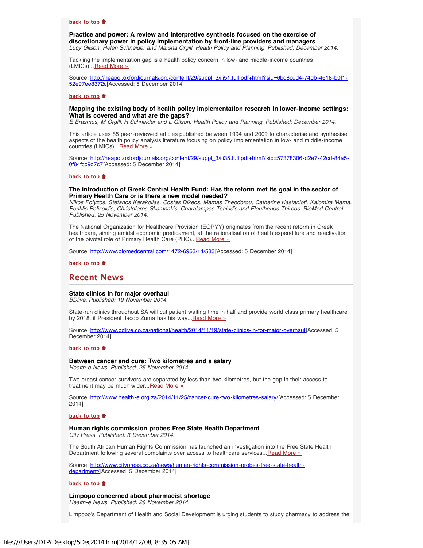### **[back to top](#page-0-4)**

<span id="page-1-0"></span>**Practice and power: A review and interpretive synthesis focused on the exercise of discretionary power in policy implementation by front-line providers and managers** *Lucy Gilson, Helen Schneider and Marsha Orgill. Health Policy and Planning. Published: December 2014.*

Tackling the implementation gap is a health policy concern in low- and middle-income countries (LMICs)...[Read More »](http://heapol.oxfordjournals.org/content/29/suppl_3/iii51.full.pdf+html?sid=6bd8cdd4-74db-4618-b0f1-52e97ee8372c)

Source: [http://heapol.oxfordjournals.org/content/29/suppl\\_3/iii51.full.pdf+html?sid=6bd8cdd4-74db-4618-b0f1-](http://heapol.oxfordjournals.org/content/29/suppl_3/iii51.full.pdf+html?sid=6bd8cdd4-74db-4618-b0f1-52e97ee8372c) [52e97ee8372c\[](http://heapol.oxfordjournals.org/content/29/suppl_3/iii51.full.pdf+html?sid=6bd8cdd4-74db-4618-b0f1-52e97ee8372c)Accessed: 5 December 2014]

#### **[back to top](#page-0-4)**

### <span id="page-1-1"></span>**Mapping the existing body of health policy implementation research in lower-income settings: What is covered and what are the gaps?**

*E Erasmus, M Orgill, H Schneider and L Gilson. Health Policy and Planning. Published: December 2014.*

This article uses 85 peer-reviewed articles published between 1994 and 2009 to characterise and synthesise aspects of the health policy analysis literature focusing on policy implementation in low- and middle-income countries (LMICs)... [Read More »](http://heapol.oxfordjournals.org/content/29/suppl_3/iii35.full.pdf+html?sid=57378306-d2e7-42cd-84a5-0f84fcc9d7c7)

Source: [http://heapol.oxfordjournals.org/content/29/suppl\\_3/iii35.full.pdf+html?sid=57378306-d2e7-42cd-84a5-](http://heapol.oxfordjournals.org/content/29/suppl_3/iii35.full.pdf+html?sid=57378306-d2e7-42cd-84a5-0f84fcc9d7c7) [0f84fcc9d7c7\[](http://heapol.oxfordjournals.org/content/29/suppl_3/iii35.full.pdf+html?sid=57378306-d2e7-42cd-84a5-0f84fcc9d7c7)Accessed: 5 December 2014]

#### **[back to top](#page-0-4)**

### <span id="page-1-2"></span>**The introduction of Greek Central Health Fund: Has the reform met its goal in the sector of Primary Health Care or is there a new model needed?**

*Nikos Polyzos, Stefanos Karakolias, Costas Dikeos, Mamas Theodorou, Catherine Kastanioti, Kalomira Mama, Periklis Polizoidis, Christoforos Skamnakis, Charalampos Tsairidis and Eleutherios Thireos. BioMed Central. Published: 25 November 2014.*

The National Organization for Healthcare Provision (EOPYY) originates from the recent reform in Greek healthcare, aiming amidst economic predicament, at the rationalisation of health expenditure and reactivation of the pivotal role of Primary Health Care (PHC)... [Read More »](http://www.biomedcentral.com/1472-6963/14/583)

Source: [http://www.biomedcentral.com/1472-6963/14/583\[](http://www.biomedcentral.com/1472-6963/14/583)Accessed: 5 December 2014]

### **[back to top](#page-0-4)**

# <span id="page-1-3"></span>**Recent News**

#### <span id="page-1-4"></span>**State clinics in for major overhaul**

*BDlive. Published: 19 November 2014.*

State-run clinics throughout SA will cut patient waiting time in half and provide world class primary healthcare by 2018, if President Jacob Zuma has his way... [Read More »](http://www.hst.org.za/news/state-clinics-major-overhaul)

Source: [http://www.bdlive.co.za/national/health/2014/11/19/state-clinics-in-for-major-overhaul\[](http://www.bdlive.co.za/national/health/2014/11/19/state-clinics-in-for-major-overhaul)Accessed: 5 December 2014]

#### **[back to top](#page-0-4)**

# <span id="page-1-5"></span>**Between cancer and cure: Two kilometres and a salary**

*Health-e News. Published: 25 November 2014.*

Two breast cancer survivors are separated by less than two kilometres, but the gap in their access to treatment may be much wider... [Read More »](http://www.health-e.org.za/2014/11/25/cancer-cure-two-kilometres-salary/)

Source: <http://www.health-e.org.za/2014/11/25/cancer-cure-two-kilometres-salary/>[Accessed: 5 December 2014]

#### **[back to top](#page-0-4)**

### <span id="page-1-6"></span>**Human rights commission probes Free State Health Department**

*City Press. Published: 3 December 2014.*

The South African Human Rights Commission has launched an investigation into the Free State Health Department following several complaints over access to healthcare services...[Read More »](http://www.hst.org.za/news/human-rights-commission-probes-free-state-health-department)

Source: [http://www.citypress.co.za/news/human-rights-commission-probes-free-state-health](http://www.citypress.co.za/news/human-rights-commission-probes-free-state-health-department/)[department/](http://www.citypress.co.za/news/human-rights-commission-probes-free-state-health-department/)[Accessed: 5 December 2014]

#### **[back to top](#page-0-4)**

## <span id="page-1-7"></span>**Limpopo concerned about pharmacist shortage**

*Health-e News. Published: 28 November 2014.*

Limpopo's Department of Health and Social Development is urging students to study pharmacy to address the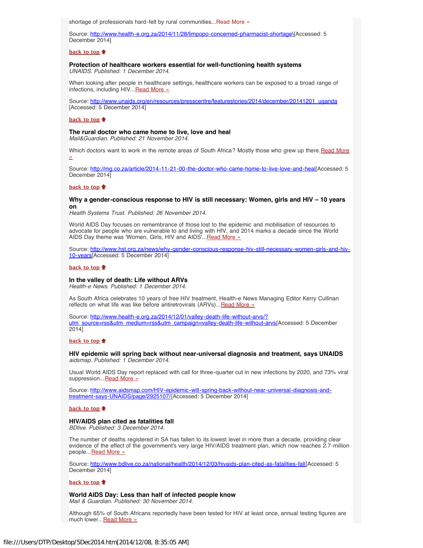shortage of professionals hard-felt by rural communities... [Read More »](http://www.hst.org.za/news/limpopo-concerned-about-pharmacist-shortage)

Source: [http://www.health-e.org.za/2014/11/28/limpopo-concerned-pharmacist-shortage\\[](http://www.health-e.org.za/2014/11/28/limpopo-concerned-pharmacist-shortage\)Accessed: 5 December 2014]

#### **[back to top](#page-0-4)**

# <span id="page-2-0"></span>**Protection of healthcare workers essential for well-functioning health systems**

*UNAIDS. Published: 1 December 2014.*

When looking after people in healthcare settings, healthcare workers can be exposed to a broad range of infections, including HIV... [Read More »](http://www.hst.org.za/news/protection-health-care-workers-essential-well-functioning-health-systems)

Source: [http://www.unaids.org/en/resources/presscentre/featurestories/2014/december/20141201\\_uganda](http://www.unaids.org/en/resources/presscentre/featurestories/2014/december/20141201_uganda) [Accessed: 5 December 2014]

#### **[back to top](#page-0-4)**

## <span id="page-2-1"></span>**The rural doctor who came home to live, love and heal**

*Mail&Guardian. Published: 21 November 2014.*

Which doctors want to work in the remote areas of South Africa? Mostly those who grew up there. [Read More](http://mg.co.za/article/2014-11-21-00-the-doctor-who-came-home-to-live-love-and-heal) [»](http://mg.co.za/article/2014-11-21-00-the-doctor-who-came-home-to-live-love-and-heal)

Source: <http://mg.co.za/article/2014-11-21-00-the-doctor-who-came-home-to-live-love-and-heal>[Accessed: 5 December 2014]

#### **[back to top](#page-0-4)**

#### <span id="page-2-2"></span>**Why a gender-conscious response to HIV is still necessary: Women, girls and HIV – 10 years on**

*Health Systems Trust. Published: 26 November 2014.*

World AIDS Day focuses on remembrance of those lost to the epidemic and mobilisation of resources to advocate for people who are vulnerable to and living with HIV, and 2014 marks a decade since the World AIDS Day theme was 'Women, Girls, HIV and AIDS'... [Read More »](http://www.hst.org.za/news/why-gender-conscious-response-hiv-still-necessary-women-girls-and-hiv-10-years)

Source: [http://www.hst.org.za/news/why-gender-conscious-response-hiv-still-necessary-women-girls-and-hiv-](http://www.hst.org.za/news/why-gender-conscious-response-hiv-still-necessary-women-girls-and-hiv-10-years)[10-years](http://www.hst.org.za/news/why-gender-conscious-response-hiv-still-necessary-women-girls-and-hiv-10-years)[Accessed: 5 December 2014]

#### **[back to top](#page-0-4)**

### <span id="page-2-3"></span>**In the valley of death: Life without ARVs**

*Health-e News. Published: 1 December 2014.*

As South Africa celebrates 10 years of free HIV treatment, Health-e News Managing Editor Kerry Cullinan reflects on what life was like before antiretrovirals (ARVs)... [Read More »](http://www.health-e.org.za/2014/12/01/valley-death-life-without-arvs/?utm_source=rss&utm_medium=rss&utm_campaign=valley-death-life-without-arvs)

Source: [http://www.health-e.org.za/2014/12/01/valley-death-life-without-arvs/?](http://www.health-e.org.za/2014/12/01/valley-death-life-without-arvs/?utm_source=rss&utm_medium=rss&utm_campaign=valley-death-life-without-arvs) [utm\\_source=rss&utm\\_medium=rss&utm\\_campaign=valley-death-life-without-arvs](http://www.health-e.org.za/2014/12/01/valley-death-life-without-arvs/?utm_source=rss&utm_medium=rss&utm_campaign=valley-death-life-without-arvs)[Accessed: 5 December 2014]

### **[back to top](#page-0-4)**

### <span id="page-2-4"></span>**HIV epidemic will spring back without near-universal diagnosis and treatment, says UNAIDS** *aidsmap. Published: 1 December 2014.*

Usual World AIDS Day report replaced with call for three-quarter cut in new infections by 2020, and 73% viral suppression...[Read More »](http://www.hst.org.za/news/hiv-epidemic-will-spring-back-without-near-universal-diagnosis-and-treatment-says-unaids)

Source: [http://www.aidsmap.com/HIV-epidemic-will-spring-back-without-near-universal-diagnosis-and](http://www.aidsmap.com/HIV-epidemic-will-spring-back-without-near-universal-diagnosis-and-treatment-says-UNAIDS/page/2925107/)[treatment-says-UNAIDS/page/2925107/\[](http://www.aidsmap.com/HIV-epidemic-will-spring-back-without-near-universal-diagnosis-and-treatment-says-UNAIDS/page/2925107/)Accessed: 5 December 2014]

### **[back to top](#page-0-4)**

### <span id="page-2-5"></span>**HIV/AIDS plan cited as fatalities fall**

*BDlive. Published: 3 December 2014.*

The number of deaths registered in SA has fallen to its lowest level in more than a decade, providing clear evidence of the effect of the government's very large HIV/AIDS treatment plan, which now reaches 2.7-million people... [Read More »](http://www.hst.org.za/news/hivaids-plan-cited-fatalities-fall)

Source: [http://www.bdlive.co.za/national/health/2014/12/03/hivaids-plan-cited-as-fatalities-fall\[](http://www.bdlive.co.za/national/health/2014/12/03/hivaids-plan-cited-as-fatalities-fall)Accessed: 5 December 2014]

### **[back to top](#page-0-4)**

# **World AIDS Day: Less than half of infected people know**

<span id="page-2-6"></span>*Mail & Guardian. Published: 30 November 2014.*

Although 65% of South Africans reportedly have been tested for HIV at least once, annual testing figures are much lower... [Read More »](http://www.hst.org.za/news/world-aids-day-less-half-infected-people-know)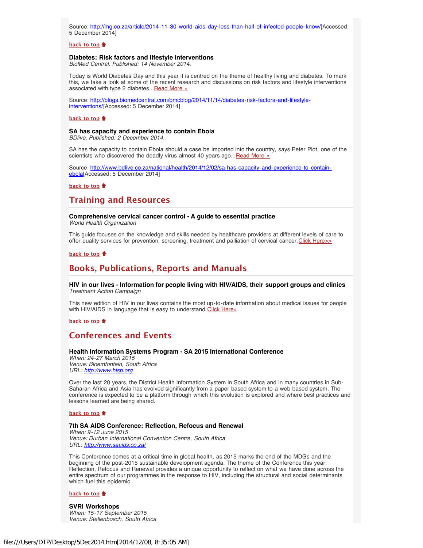Source: [http://mg.co.za/article/2014-11-30-world-aids-day-less-than-half-of-infected-people-know/\[](http://mg.co.za/article/2014-11-30-world-aids-day-less-than-half-of-infected-people-know/)Accessed: 5 December 2014]

#### **[back to top](#page-0-4)**

#### <span id="page-3-0"></span>**Diabetes: Risk factors and lifestyle interventions**

*BioMed Central. Published: 14 November 2014.*

Today is World Diabetes Day and this year it is centred on the theme of healthy living and diabetes. To mark this, we take a look at some of the recent research and discussions on risk factors and lifestyle interventions associated with type 2 diabetes... [Read More »](http://www.hst.org.za/news/diabetes-risk-factors-and-lifestyle-interventions)

Source: [http://blogs.biomedcentral.com/bmcblog/2014/11/14/diabetes-risk-factors-and-lifestyle](http://blogs.biomedcentral.com/bmcblog/2014/11/14/diabetes-risk-factors-and-lifestyle-interventions/)[interventions/\[](http://blogs.biomedcentral.com/bmcblog/2014/11/14/diabetes-risk-factors-and-lifestyle-interventions/)Accessed: 5 December 2014]

#### **[back to top](#page-0-4)**

#### <span id="page-3-1"></span>**SA has capacity and experience to contain Ebola**

*BDlive. Published: 2 December 2014.*

SA has the capacity to contain Ebola should a case be imported into the country, says Peter Piot, one of the scientists who discovered the deadly virus almost 40 years ago... [Read More »](http://www.hst.org.za/news/sa-has-capacity-and-experience-contain-ebola)

Source: [http://www.bdlive.co.za/national/health/2014/12/02/sa-has-capacity-and-experience-to-contain](http://www.bdlive.co.za/national/health/2014/12/02/sa-has-capacity-and-experience-to-contain-ebola)[ebola](http://www.bdlive.co.za/national/health/2014/12/02/sa-has-capacity-and-experience-to-contain-ebola)[Accessed: 5 December 2014]

**[back to top](#page-0-4)**

# <span id="page-3-2"></span>**Training and Resources**

# <span id="page-3-3"></span>**Comprehensive cervical cancer control - A guide to essential practice**

*World Health Organization*

This guide focuses on the knowledge and skills needed by healthcare providers at different levels of care to offer quality services for prevention, screening, treatment and palliation of cervical cancer. Click Here $\gg$ 

## **[back to top](#page-0-4)**

# <span id="page-3-4"></span>**Books, Publications, Reports and Manuals**

## <span id="page-3-5"></span>**HIV in our lives - Information for people living with HIV/AIDS, their support groups and clinics** *Treatment Action Campaign*

This new edition of HIV in our lives contains the most up-to-date information about medical issues for people with HIV/AIDS in language that is easy to understand. [Click Here»](http://www.tac.org.za/sites/default/files/publications/2014-10-31/TAC_IOL_web3_LR-1.pdf)

**[back to top](#page-0-4)**

# <span id="page-3-6"></span>**Conferences and Events**

### <span id="page-3-7"></span>**Health Information Systems Program - SA 2015 International Conference**

*When: 24-27 March 2015 Venue: Bloemfontein, South Africa URL: [http://www.hisp.org](http://www.hisp.org/)*

Over the last 20 years, the District Health Information System in South Africa and in many countries in Sub-Saharan Africa and Asia has evolved significantly from a paper based system to a web based system. The conference is expected to be a platform through which this evolution is explored and where best practices and lessons learned are being shared.

#### **[back to top](#page-0-4)**

# <span id="page-3-8"></span>**7th SA AIDS Conference: Reflection, Refocus and Renewal**

*When: 9-12 June 2015 Venue: Durban International Convention Centre, South Africa URL: <http://www.saaids.co.za/>*

This Conference comes at a critical time in global health, as 2015 marks the end of the MDGs and the beginning of the post-2015 sustainable development agenda. The theme of the Conference this year: Reflection, Refocus and Renewal provides a unique opportunity to reflect on what we have done across the entire spectrum of our programmes in the response to HIV, including the structural and social determinants which fuel this epidemic.

#### **[back to top](#page-0-4)**

<span id="page-3-9"></span>**SVRI Workshops** *When: 15-17 September 2015 Venue: Stellenbosch, South Africa*